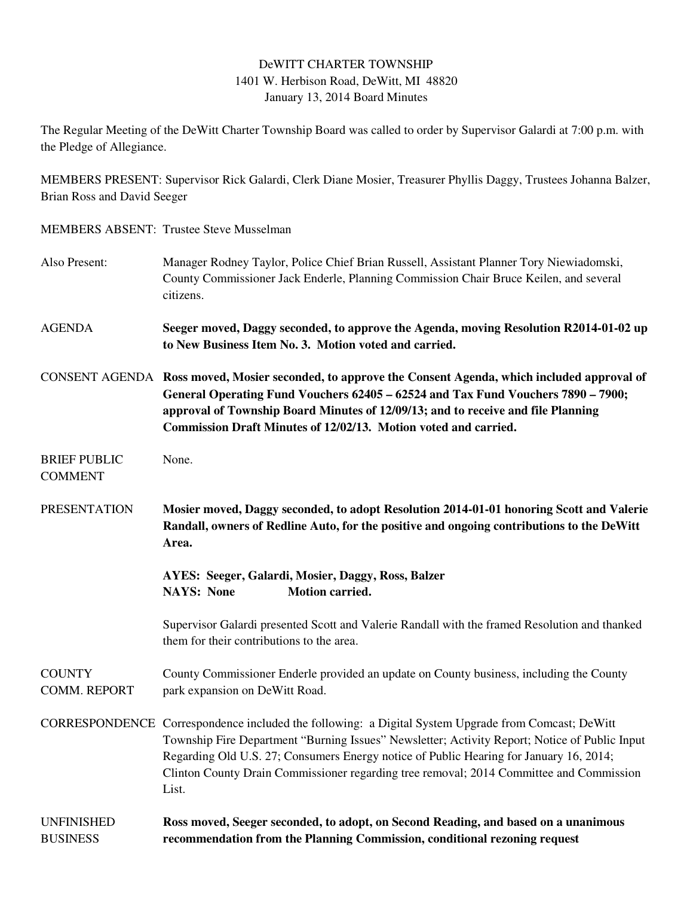## DeWITT CHARTER TOWNSHIP 1401 W. Herbison Road, DeWitt, MI 48820 January 13, 2014 Board Minutes

The Regular Meeting of the DeWitt Charter Township Board was called to order by Supervisor Galardi at 7:00 p.m. with the Pledge of Allegiance.

MEMBERS PRESENT: Supervisor Rick Galardi, Clerk Diane Mosier, Treasurer Phyllis Daggy, Trustees Johanna Balzer, Brian Ross and David Seeger

## MEMBERS ABSENT: Trustee Steve Musselman

Also Present: Manager Rodney Taylor, Police Chief Brian Russell, Assistant Planner Tory Niewiadomski, County Commissioner Jack Enderle, Planning Commission Chair Bruce Keilen, and several citizens. AGENDA **Seeger moved, Daggy seconded, to approve the Agenda, moving Resolution R2014-01-02 up to New Business Item No. 3. Motion voted and carried.**  CONSENT AGENDA **Ross moved, Mosier seconded, to approve the Consent Agenda, which included approval of General Operating Fund Vouchers 62405 – 62524 and Tax Fund Vouchers 7890 – 7900; approval of Township Board Minutes of 12/09/13; and to receive and file Planning Commission Draft Minutes of 12/02/13. Motion voted and carried.**  BRIEF PUBLIC None. COMMENT PRESENTATION **Mosier moved, Daggy seconded, to adopt Resolution 2014-01-01 honoring Scott and Valerie Randall, owners of Redline Auto, for the positive and ongoing contributions to the DeWitt Area. AYES: Seeger, Galardi, Mosier, Daggy, Ross, Balzer NAYS: None Motion carried.**  Supervisor Galardi presented Scott and Valerie Randall with the framed Resolution and thanked them for their contributions to the area. COUNTY County Commissioner Enderle provided an update on County business, including the County COMM. REPORT park expansion on DeWitt Road. CORRESPONDENCE Correspondence included the following: a Digital System Upgrade from Comcast; DeWitt Township Fire Department "Burning Issues" Newsletter; Activity Report; Notice of Public Input Regarding Old U.S. 27; Consumers Energy notice of Public Hearing for January 16, 2014; Clinton County Drain Commissioner regarding tree removal; 2014 Committee and Commission List. UNFINISHED **Ross moved, Seeger seconded, to adopt, on Second Reading, and based on a unanimous** 

BUSINESS **recommendation from the Planning Commission, conditional rezoning request**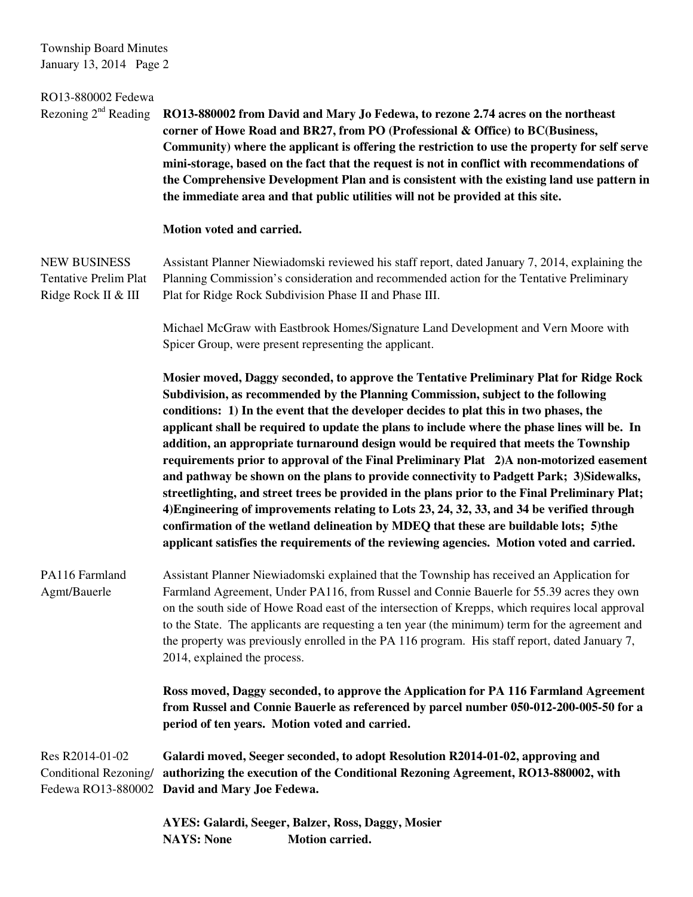Township Board Minutes January 13, 2014 Page 2

| RO13-880002 Fedewa<br>Rezoning $2nd$ Reading                               | RO13-880002 from David and Mary Jo Fedewa, to rezone 2.74 acres on the northeast<br>corner of Howe Road and BR27, from PO (Professional & Office) to BC(Business,<br>Community) where the applicant is offering the restriction to use the property for self serve<br>mini-storage, based on the fact that the request is not in conflict with recommendations of<br>the Comprehensive Development Plan and is consistent with the existing land use pattern in<br>the immediate area and that public utilities will not be provided at this site.                                                                                                                                                                                                                                                                                                                                                                                                                                                                                      |
|----------------------------------------------------------------------------|-----------------------------------------------------------------------------------------------------------------------------------------------------------------------------------------------------------------------------------------------------------------------------------------------------------------------------------------------------------------------------------------------------------------------------------------------------------------------------------------------------------------------------------------------------------------------------------------------------------------------------------------------------------------------------------------------------------------------------------------------------------------------------------------------------------------------------------------------------------------------------------------------------------------------------------------------------------------------------------------------------------------------------------------|
|                                                                            | Motion voted and carried.                                                                                                                                                                                                                                                                                                                                                                                                                                                                                                                                                                                                                                                                                                                                                                                                                                                                                                                                                                                                               |
| <b>NEW BUSINESS</b><br><b>Tentative Prelim Plat</b><br>Ridge Rock II & III | Assistant Planner Niewiadomski reviewed his staff report, dated January 7, 2014, explaining the<br>Planning Commission's consideration and recommended action for the Tentative Preliminary<br>Plat for Ridge Rock Subdivision Phase II and Phase III.                                                                                                                                                                                                                                                                                                                                                                                                                                                                                                                                                                                                                                                                                                                                                                                  |
|                                                                            | Michael McGraw with Eastbrook Homes/Signature Land Development and Vern Moore with<br>Spicer Group, were present representing the applicant.                                                                                                                                                                                                                                                                                                                                                                                                                                                                                                                                                                                                                                                                                                                                                                                                                                                                                            |
|                                                                            | Mosier moved, Daggy seconded, to approve the Tentative Preliminary Plat for Ridge Rock<br>Subdivision, as recommended by the Planning Commission, subject to the following<br>conditions: 1) In the event that the developer decides to plat this in two phases, the<br>applicant shall be required to update the plans to include where the phase lines will be. In<br>addition, an appropriate turnaround design would be required that meets the Township<br>requirements prior to approval of the Final Preliminary Plat 2)A non-motorized easement<br>and pathway be shown on the plans to provide connectivity to Padgett Park; 3)Sidewalks,<br>streetlighting, and street trees be provided in the plans prior to the Final Preliminary Plat;<br>4) Engineering of improvements relating to Lots 23, 24, 32, 33, and 34 be verified through<br>confirmation of the wetland delineation by MDEQ that these are buildable lots; 5)the<br>applicant satisfies the requirements of the reviewing agencies. Motion voted and carried. |
| PA116 Farmland<br>Agmt/Bauerle                                             | Assistant Planner Niewiadomski explained that the Township has received an Application for<br>Farmland Agreement, Under PA116, from Russel and Connie Bauerle for 55.39 acres they own<br>on the south side of Howe Road east of the intersection of Krepps, which requires local approval<br>to the State. The applicants are requesting a ten year (the minimum) term for the agreement and<br>the property was previously enrolled in the PA 116 program. His staff report, dated January 7,<br>2014, explained the process.                                                                                                                                                                                                                                                                                                                                                                                                                                                                                                         |
|                                                                            | Ross moved, Daggy seconded, to approve the Application for PA 116 Farmland Agreement<br>from Russel and Connie Bauerle as referenced by parcel number 050-012-200-005-50 for a<br>period of ten years. Motion voted and carried.                                                                                                                                                                                                                                                                                                                                                                                                                                                                                                                                                                                                                                                                                                                                                                                                        |
| Res R2014-01-02<br>Conditional Rezoning/                                   | Galardi moved, Seeger seconded, to adopt Resolution R2014-01-02, approving and<br>authorizing the execution of the Conditional Rezoning Agreement, RO13-880002, with<br>Fedewa RO13-880002 David and Mary Joe Fedewa.                                                                                                                                                                                                                                                                                                                                                                                                                                                                                                                                                                                                                                                                                                                                                                                                                   |
|                                                                            | AYES: Galardi, Seeger, Balzer, Ross, Daggy, Mosier<br>Motion carried.<br><b>NAYS: None</b>                                                                                                                                                                                                                                                                                                                                                                                                                                                                                                                                                                                                                                                                                                                                                                                                                                                                                                                                              |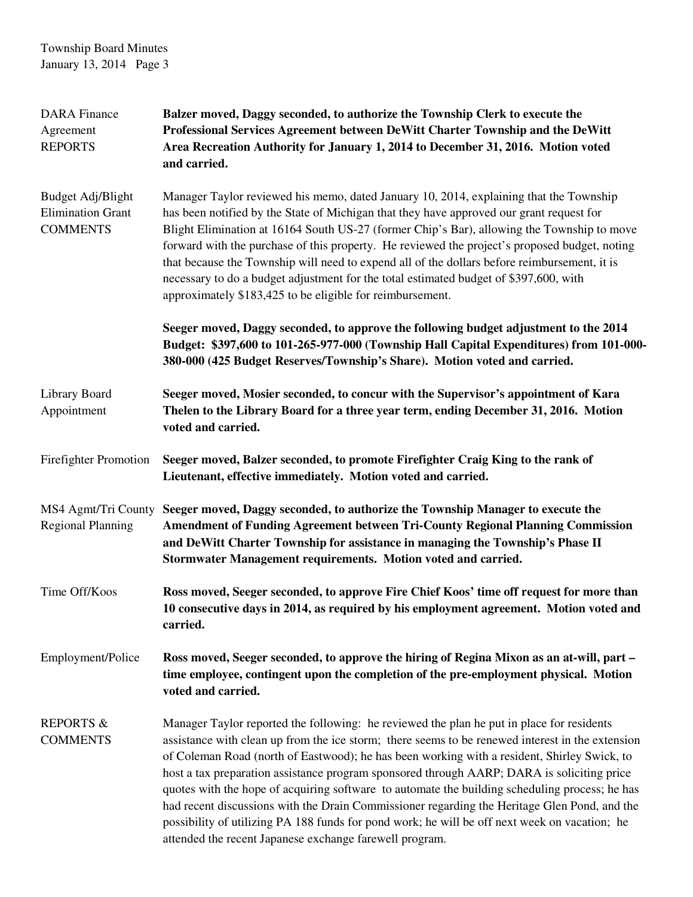| <b>DARA</b> Finance<br>Agreement<br><b>REPORTS</b>               | Balzer moved, Daggy seconded, to authorize the Township Clerk to execute the<br>Professional Services Agreement between DeWitt Charter Township and the DeWitt<br>Area Recreation Authority for January 1, 2014 to December 31, 2016. Motion voted<br>and carried.                                                                                                                                                                                                                                                                                                                                                                                                                                                                                       |
|------------------------------------------------------------------|----------------------------------------------------------------------------------------------------------------------------------------------------------------------------------------------------------------------------------------------------------------------------------------------------------------------------------------------------------------------------------------------------------------------------------------------------------------------------------------------------------------------------------------------------------------------------------------------------------------------------------------------------------------------------------------------------------------------------------------------------------|
| Budget Adj/Blight<br><b>Elimination Grant</b><br><b>COMMENTS</b> | Manager Taylor reviewed his memo, dated January 10, 2014, explaining that the Township<br>has been notified by the State of Michigan that they have approved our grant request for<br>Blight Elimination at 16164 South US-27 (former Chip's Bar), allowing the Township to move<br>forward with the purchase of this property. He reviewed the project's proposed budget, noting<br>that because the Township will need to expend all of the dollars before reimbursement, it is<br>necessary to do a budget adjustment for the total estimated budget of \$397,600, with<br>approximately \$183,425 to be eligible for reimbursement.                                                                                                                  |
|                                                                  | Seeger moved, Daggy seconded, to approve the following budget adjustment to the 2014<br>Budget: \$397,600 to 101-265-977-000 (Township Hall Capital Expenditures) from 101-000-<br>380-000 (425 Budget Reserves/Township's Share). Motion voted and carried.                                                                                                                                                                                                                                                                                                                                                                                                                                                                                             |
| Library Board<br>Appointment                                     | Seeger moved, Mosier seconded, to concur with the Supervisor's appointment of Kara<br>Thelen to the Library Board for a three year term, ending December 31, 2016. Motion<br>voted and carried.                                                                                                                                                                                                                                                                                                                                                                                                                                                                                                                                                          |
| <b>Firefighter Promotion</b>                                     | Seeger moved, Balzer seconded, to promote Firefighter Craig King to the rank of<br>Lieutenant, effective immediately. Motion voted and carried.                                                                                                                                                                                                                                                                                                                                                                                                                                                                                                                                                                                                          |
| MS4 Agmt/Tri County<br><b>Regional Planning</b>                  | Seeger moved, Daggy seconded, to authorize the Township Manager to execute the<br><b>Amendment of Funding Agreement between Tri-County Regional Planning Commission</b><br>and DeWitt Charter Township for assistance in managing the Township's Phase II<br>Stormwater Management requirements. Motion voted and carried.                                                                                                                                                                                                                                                                                                                                                                                                                               |
| Time Off/Koos                                                    | Ross moved, Seeger seconded, to approve Fire Chief Koos' time off request for more than<br>10 consecutive days in 2014, as required by his employment agreement. Motion voted and<br>carried.                                                                                                                                                                                                                                                                                                                                                                                                                                                                                                                                                            |
| Employment/Police                                                | Ross moved, Seeger seconded, to approve the hiring of Regina Mixon as an at-will, part –<br>time employee, contingent upon the completion of the pre-employment physical. Motion<br>voted and carried.                                                                                                                                                                                                                                                                                                                                                                                                                                                                                                                                                   |
| <b>REPORTS &amp;</b><br><b>COMMENTS</b>                          | Manager Taylor reported the following: he reviewed the plan he put in place for residents<br>assistance with clean up from the ice storm; there seems to be renewed interest in the extension<br>of Coleman Road (north of Eastwood); he has been working with a resident, Shirley Swick, to<br>host a tax preparation assistance program sponsored through AARP; DARA is soliciting price<br>quotes with the hope of acquiring software to automate the building scheduling process; he has<br>had recent discussions with the Drain Commissioner regarding the Heritage Glen Pond, and the<br>possibility of utilizing PA 188 funds for pond work; he will be off next week on vacation; he<br>attended the recent Japanese exchange farewell program. |